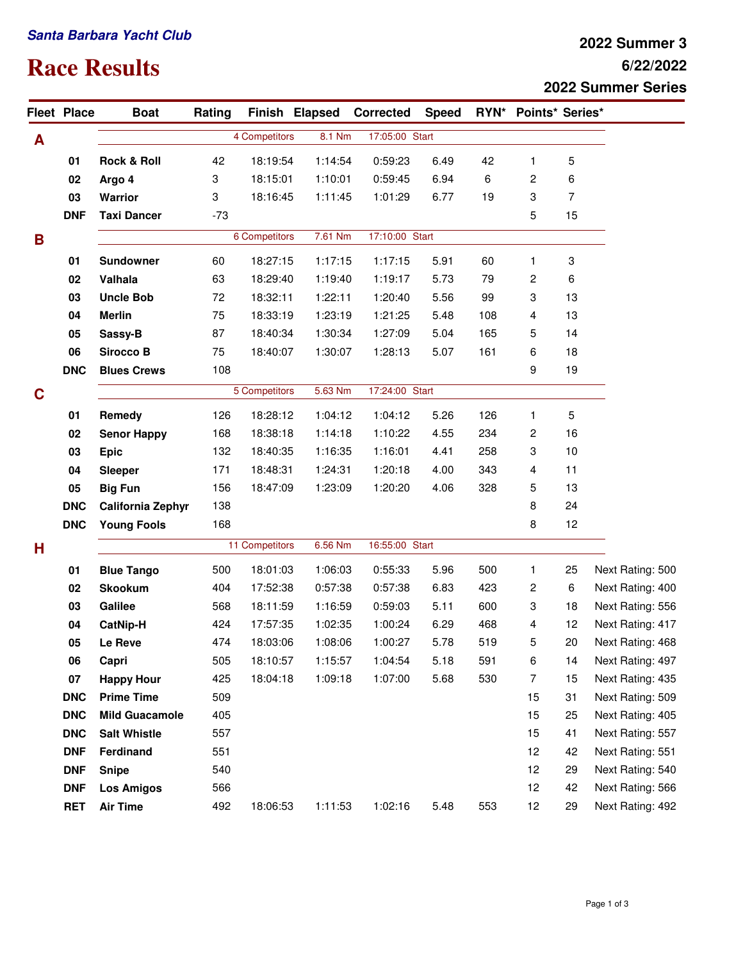## **Santa Barbara Yacht Club**

## **Race Results**

## **6/22/2022 2022 Summer 3 2022 Summer Series**

|   | <b>Fleet Place</b> | <b>Boat</b>              | Rating         |               |         | Finish Elapsed Corrected  | <b>Speed</b>   |     | RYN* Points* Series* |    |                  |
|---|--------------------|--------------------------|----------------|---------------|---------|---------------------------|----------------|-----|----------------------|----|------------------|
| A |                    |                          |                | 4 Competitors | 8.1 Nm  | 17:05:00 Start            |                |     |                      |    |                  |
|   | 01                 | <b>Rock &amp; Roll</b>   | 42             | 18:19:54      | 1:14:54 | 0:59:23                   | 6.49           | 42  | $\mathbf{1}$         | 5  |                  |
|   | 02                 | Argo 4                   | 3              | 18:15:01      | 1:10:01 | 0:59:45                   | 6.94           | 6   | 2                    | 6  |                  |
|   | 03                 | Warrior                  | 3              | 18:16:45      | 1:11:45 | 1:01:29                   | 6.77           | 19  | 3                    | 7  |                  |
|   | <b>DNF</b>         | <b>Taxi Dancer</b>       | $-73$          |               |         |                           |                |     | 5                    | 15 |                  |
| B |                    |                          |                | 6 Competitors | 7.61 Nm | 17:10:00 Start            |                |     |                      |    |                  |
|   | 01                 | <b>Sundowner</b>         | 60             | 18:27:15      | 1:17:15 | 1:17:15                   | 5.91           | 60  | 1                    | 3  |                  |
|   | 02                 | Valhala                  | 63             | 18:29:40      | 1:19:40 | 1:19:17                   | 5.73           | 79  | 2                    | 6  |                  |
|   | 03                 | <b>Uncle Bob</b>         | 72             | 18:32:11      | 1:22:11 | 1:20:40                   | 5.56           | 99  | 3                    | 13 |                  |
|   | 04                 | <b>Merlin</b>            | 75             | 18:33:19      | 1:23:19 | 1:21:25                   | 5.48           | 108 | 4                    | 13 |                  |
|   | 05                 | Sassy-B                  | 87             | 18:40:34      | 1:30:34 | 1:27:09                   | 5.04           | 165 | 5                    | 14 |                  |
|   | 06                 | <b>Sirocco B</b>         | 75             | 18:40:07      | 1:30:07 | 1:28:13                   | 5.07           | 161 | 6                    | 18 |                  |
|   | <b>DNC</b>         | <b>Blues Crews</b>       | 108            |               |         |                           |                |     | 9                    | 19 |                  |
| C |                    |                          |                | 5 Competitors |         | 17:24:00 Start<br>5.63 Nm |                |     |                      |    |                  |
|   | 01                 | Remedy                   | 126            | 18:28:12      | 1:04:12 | 1:04:12                   | 5.26           | 126 | 1                    | 5  |                  |
|   | 02                 | <b>Senor Happy</b>       | 168            | 18:38:18      | 1:14:18 | 1:10:22                   | 4.55           | 234 | 2                    | 16 |                  |
|   | 03                 | <b>Epic</b>              | 132            | 18:40:35      | 1:16:35 | 1:16:01                   | 4.41           | 258 | 3                    | 10 |                  |
|   | 04                 | <b>Sleeper</b>           | 171            | 18:48:31      | 1:24:31 | 1:20:18                   | 4.00           | 343 | 4                    | 11 |                  |
|   | 05                 | <b>Big Fun</b>           | 156            | 18:47:09      | 1:23:09 | 1:20:20                   | 4.06           | 328 | 5                    | 13 |                  |
|   | <b>DNC</b>         | <b>California Zephyr</b> | 138            |               |         |                           |                |     | 8                    | 24 |                  |
|   | <b>DNC</b>         | <b>Young Fools</b>       | 168            |               |         |                           |                |     | 8                    | 12 |                  |
| н |                    |                          | 11 Competitors |               | 6.56 Nm |                           | 16:55:00 Start |     |                      |    |                  |
|   | 01                 | <b>Blue Tango</b>        | 500            | 18:01:03      | 1:06:03 | 0:55:33                   | 5.96           | 500 | 1                    | 25 | Next Rating: 500 |
|   | 02                 | <b>Skookum</b>           | 404            | 17:52:38      | 0:57:38 | 0:57:38                   | 6.83           | 423 | 2                    | 6  | Next Rating: 400 |
|   | 03                 | Galilee                  | 568            | 18:11:59      | 1:16:59 | 0:59:03                   | 5.11           | 600 | 3                    | 18 | Next Rating: 556 |
|   | 04                 | CatNip-H                 | 424            | 17:57:35      | 1:02:35 | 1:00:24                   | 6.29           | 468 | 4                    | 12 | Next Rating: 417 |
|   | 05                 | Le Reve                  | 474            | 18:03:06      | 1:08:06 | 1:00:27                   | 5.78           | 519 | 5                    | 20 | Next Rating: 468 |
|   | 06                 | Capri                    | 505            | 18:10:57      | 1:15:57 | 1:04:54                   | 5.18           | 591 | 6                    | 14 | Next Rating: 497 |
|   | 07                 | <b>Happy Hour</b>        | 425            | 18:04:18      | 1:09:18 | 1:07:00                   | 5.68           | 530 | 7                    | 15 | Next Rating: 435 |
|   | <b>DNC</b>         | <b>Prime Time</b>        | 509            |               |         |                           |                |     | 15                   | 31 | Next Rating: 509 |
|   | <b>DNC</b>         | <b>Mild Guacamole</b>    | 405            |               |         |                           |                |     | 15                   | 25 | Next Rating: 405 |
|   | <b>DNC</b>         | <b>Salt Whistle</b>      | 557            |               |         |                           |                |     | 15                   | 41 | Next Rating: 557 |
|   | <b>DNF</b>         | Ferdinand                | 551            |               |         |                           |                |     | 12                   | 42 | Next Rating: 551 |
|   | <b>DNF</b>         | <b>Snipe</b>             | 540            |               |         |                           |                |     | 12                   | 29 | Next Rating: 540 |
|   | <b>DNF</b>         | <b>Los Amigos</b>        | 566            |               |         |                           |                |     | 12                   | 42 | Next Rating: 566 |
|   | <b>RET</b>         | <b>Air Time</b>          | 492            | 18:06:53      | 1:11:53 | 1:02:16                   | 5.48           | 553 | 12                   | 29 | Next Rating: 492 |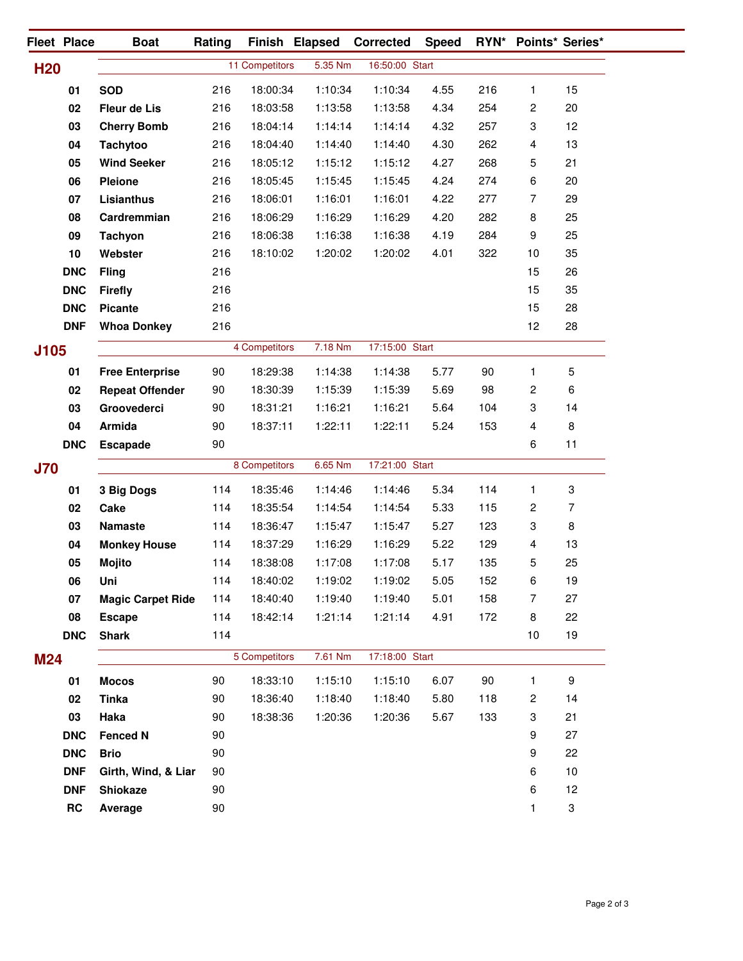|                 | Fleet Place | <b>Boat</b>              | Rating        |                | Finish Elapsed | <b>Corrected</b> | <b>Speed</b>   |     | RYN* Points* Series* |                |
|-----------------|-------------|--------------------------|---------------|----------------|----------------|------------------|----------------|-----|----------------------|----------------|
| H <sub>20</sub> |             |                          |               | 11 Competitors | 5.35 Nm        | 16:50:00 Start   |                |     |                      |                |
|                 | 01          | <b>SOD</b>               | 216           | 18:00:34       | 1:10:34        | 1:10:34          | 4.55           | 216 | 1                    | 15             |
|                 | 02          | <b>Fleur de Lis</b>      | 216           | 18:03:58       | 1:13:58        | 1:13:58          | 4.34           | 254 | 2                    | 20             |
|                 | 03          | <b>Cherry Bomb</b>       | 216           | 18:04:14       | 1:14:14        | 1:14:14          | 4.32           | 257 | 3                    | 12             |
|                 | 04          | <b>Tachytoo</b>          | 216           | 18:04:40       | 1:14:40        | 1:14:40          | 4.30           | 262 | 4                    | 13             |
|                 | 05          | <b>Wind Seeker</b>       | 216           | 18:05:12       | 1:15:12        | 1:15:12          | 4.27           | 268 | 5                    | 21             |
|                 | 06          | <b>Pleione</b>           | 216           | 18:05:45       | 1:15:45        | 1:15:45          | 4.24           | 274 | 6                    | 20             |
|                 | 07          | Lisianthus               | 216           | 18:06:01       | 1:16:01        | 1:16:01          | 4.22           | 277 | 7                    | 29             |
|                 | 08          | Cardremmian              | 216           | 18:06:29       | 1:16:29        | 1:16:29          | 4.20           | 282 | 8                    | 25             |
|                 | 09          | <b>Tachyon</b>           | 216           | 18:06:38       | 1:16:38        | 1:16:38          | 4.19           | 284 | 9                    | 25             |
|                 | 10          | Webster                  | 216           | 18:10:02       | 1:20:02        | 1:20:02          | 4.01           | 322 | 10                   | 35             |
|                 | <b>DNC</b>  | <b>Fling</b>             | 216           |                |                |                  |                |     | 15                   | 26             |
|                 | <b>DNC</b>  | <b>Firefly</b>           | 216           |                |                |                  |                |     | 15                   | 35             |
|                 | <b>DNC</b>  | <b>Picante</b>           | 216           |                |                |                  |                |     | 15                   | 28             |
|                 | <b>DNF</b>  | <b>Whoa Donkey</b>       | 216           |                |                |                  |                |     | 12                   | 28             |
| J105            |             |                          |               | 4 Competitors  | 7.18 Nm        | 17:15:00 Start   |                |     |                      |                |
|                 |             |                          |               |                |                |                  |                |     |                      |                |
|                 | 01          | <b>Free Enterprise</b>   | 90            | 18:29:38       | 1:14:38        | 1:14:38          | 5.77           | 90  | 1                    | 5              |
|                 | 02          | <b>Repeat Offender</b>   | 90            | 18:30:39       | 1:15:39        | 1:15:39          | 5.69           | 98  | 2                    | 6              |
|                 | 03          | Groovederci              | 90            | 18:31:21       | 1:16:21        | 1:16:21          | 5.64           | 104 | 3                    | 14             |
|                 | 04          | Armida                   | 90<br>90      | 18:37:11       | 1:22:11        | 1:22:11          | 5.24           | 153 | 4<br>6               | $\bf 8$<br>11  |
|                 | <b>DNC</b>  | <b>Escapade</b>          |               |                |                |                  |                |     |                      |                |
| <b>J70</b>      |             |                          |               | 8 Competitors  | 6.65 Nm        | 17:21:00 Start   |                |     |                      |                |
|                 | 01          | 3 Big Dogs               | 114           | 18:35:46       | 1:14:46        | 1:14:46          | 5.34           | 114 | 1                    | 3              |
|                 | 02          | Cake                     | 114           | 18:35:54       | 1:14:54        | 1:14:54          | 5.33           | 115 | 2                    | $\overline{7}$ |
|                 | 03          | <b>Namaste</b>           | 114           | 18:36:47       | 1:15:47        | 1:15:47          | 5.27           | 123 | 3                    | 8              |
|                 | 04          | <b>Monkey House</b>      | 114           | 18:37:29       | 1:16:29        | 1:16:29          | 5.22           | 129 | 4                    | 13             |
|                 | 05          | <b>Mojito</b>            | 114           | 18:38:08       | 1:17:08        | 1:17:08          | 5.17           | 135 | 5                    | 25             |
|                 | 06          | Uni                      | 114           | 18:40:02       | 1:19:02        | 1:19:02          | 5.05           | 152 | 6                    | 19             |
|                 | 07          | <b>Magic Carpet Ride</b> | 114           | 18:40:40       | 1:19:40        | 1:19:40          | 5.01           | 158 | 7                    | 27             |
|                 | 08          | <b>Escape</b>            | 114           | 18:42:14       | 1:21:14        | 1:21:14          | 4.91           | 172 | 8                    | 22             |
|                 | <b>DNC</b>  | <b>Shark</b>             | 114           |                |                |                  |                |     | 10                   | 19             |
| <b>M24</b>      |             |                          | 5 Competitors |                | 7.61 Nm        |                  | 17:18:00 Start |     |                      |                |
|                 | 01          | <b>Mocos</b>             | 90            | 18:33:10       | 1:15:10        | 1:15:10          | 6.07           | 90  | 1                    | 9              |
|                 | 02          | <b>Tinka</b>             | 90            | 18:36:40       | 1:18:40        | 1:18:40          | 5.80           | 118 | 2                    | 14             |
|                 | 03          | Haka                     | 90            | 18:38:36       | 1:20:36        | 1:20:36          | 5.67           | 133 | 3                    | 21             |
|                 | <b>DNC</b>  | <b>Fenced N</b>          | 90            |                |                |                  |                |     | 9                    | 27             |
|                 | <b>DNC</b>  | <b>Brio</b>              | 90            |                |                |                  |                |     | 9                    | 22             |
|                 | <b>DNF</b>  | Girth, Wind, & Liar      | 90            |                |                |                  |                |     | 6                    | 10             |
|                 | <b>DNF</b>  | <b>Shiokaze</b>          | 90            |                |                |                  |                |     | 6                    | 12             |
|                 | RC          | Average                  | 90            |                |                |                  |                |     | 1                    | 3              |
|                 |             |                          |               |                |                |                  |                |     |                      |                |

 $\mathbb{R}$